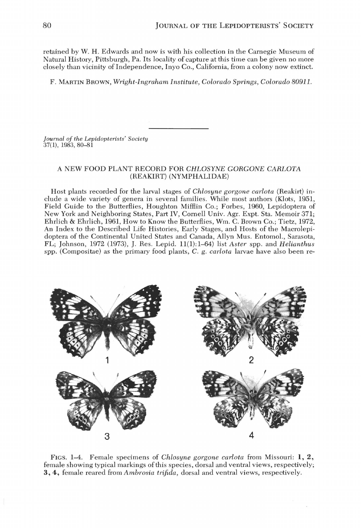retained by W. H. Edwards and now is with his collection in the Carnegie Museum of Natural History, Pittsburgh, Pa. Its locality of capture at this time can be given no more closely than vicinity of Independence, Inyo Co., California, from a colony now extinct.

F. MARTIN BROWN, *Wright-Ingraham Institute, Colorado Springs, Colorado 80911.* 

*Journal of the Lepidopterists' Society*  37( 1), 1983, 80-81

## A NEW FOOD PLANT RECORD FOR *CHLOSYNE GORGONE CARLOTA*  (REAKIRT) (NYMPHALIDAE)

Host plants recorded for the larval stages of *Chlosyne gorgone carlota* (Reakirt) include a wide variety of genera in several families. While most authors (Klots, 1951, Field Guide to the Butterflies, Houghton Mifflin Co.; Forbes, 1960, Lepidoptera of New York and Neighboring States, Part IV, Cornell Univ. Agr. Expt. Sta. Memoir 371; Ehrlich & Ehrlich, 1961, How to Know the Butterflies, Wm. C. Brown Co.; Tietz, 1972, An Index to the Described Life Histories, Early Stages, and Hosts of the Macrolepidoptera of the Continental United States and Canada, Allyn Mus. Entomol., Sarasota, FL; Johnson, 1972 (1973), J. Res. Lepid. 11(1):1-64) list *Aster* spp. and *Helianthus*  spp. (Compositae) as the primary food plants, C. g. *carlota* larvae have also been re-



FIGS. 1-4. Female specimens of *Chlosyne gorgone carlota* from Missouri: **1,** 2, female showing typical markings of this species, dorsal and ventral views, respectively; 3,4, female reared from *Ambrosia trifida,* dorsal and ventral views, respectively.